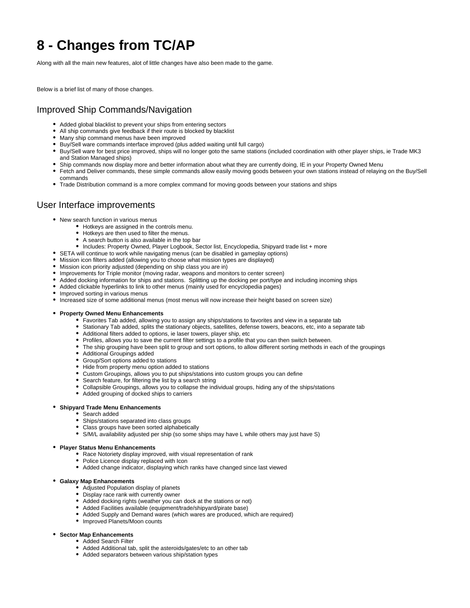# **8 - Changes from TC/AP**

Along with all the main new features, alot of little changes have also been made to the game.

Below is a brief list of many of those changes.

# Improved Ship Commands/Navigation

- Added global blacklist to prevent your ships from entering sectors
- All ship commands give feedback if their route is blocked by blacklist
- Many ship command menus have been improved
- Buy/Sell ware commands interface improved (plus added waiting until full cargo)
- Buy/Sell ware for best price improved, ships will no longer goto the same stations (included coordination with other player ships, ie Trade MK3 and Station Managed ships)
- Ship commands now display more and better information about what they are currently doing, IE in your Property Owned Menu
- Fetch and Deliver commands, these simple commands allow easily moving goods between your own stations instead of relaying on the Buy/Sell commands
- Trade Distribution command is a more complex command for moving goods between your stations and ships

# User Interface improvements

- New search function in various menus
	- Hotkeys are assigned in the controls menu.
	- Hotkeys are then used to filter the menus.
	- A search button is also available in the top bar
	- Includes: Property Owned, Player Logbook, Sector list, Encyclopedia, Shipyard trade list + more
- SETA will continue to work while navigating menus (can be disabled in gameplay options)
- Mission icon filters added (allowing you to choose what mission types are displayed)
- Mission icon priority adjusted (depending on ship class you are in)
- Improvements for Triple monitor (moving radar, weapons and monitors to center screen)
- Added docking information for ships and stations. Splitting up the docking per port/type and including incoming ships
- Added clickable hyperlinks to link to other menus (mainly used for encyclopedia pages)
- Improved sorting in various menus
- Increased size of some additional menus (most menus will now increase their height based on screen size)
- **Property Owned Menu Enhancements**
	- Favorites Tab added, allowing you to assign any ships/stations to favorites and view in a separate tab
	- Stationary Tab added, splits the stationary objects, satellites, defense towers, beacons, etc, into a separate tab
	- Additional filters added to options, ie laser towers, player ship, etc
	- Profiles, allows you to save the current filter settings to a profile that you can then switch between.
	- The ship grouping have been split to group and sort options, to allow different sorting methods in each of the groupings
	- Additional Groupings added
	- Group/Sort options added to stations
	- Hide from property menu option added to stations
	- Custom Groupings, allows you to put ships/stations into custom groups you can define
	- Search feature, for filtering the list by a search string
	- Collapsible Groupings, allows you to collapse the individual groups, hiding any of the ships/stations
	- Added grouping of docked ships to carriers
- **Shipyard Trade Menu Enhancements**
	- Search added
	- Ships/stations separated into class groups
	- Class groups have been sorted alphabetically
	- S/M/L availability adjusted per ship (so some ships may have L while others may just have S)

#### **Player Status Menu Enhancements**

- Race Notoriety display improved, with visual representation of rank
- Police Licence display replaced with Icon
- Added change indicator, displaying which ranks have changed since last viewed

#### **Galaxy Map Enhancements**

- Adjusted Population display of planets
- Display race rank with currently owner
- Added docking rights (weather you can dock at the stations or not)
- Added Facilities available (equipment/trade/shipyard/pirate base)
- Added Supply and Demand wares (which wares are produced, which are required)
- Improved Planets/Moon counts

#### **Sector Map Enhancements**

- Added Search Filter
	- Added Additional tab, split the asteroids/gates/etc to an other tab
	- Added separators between various ship/station types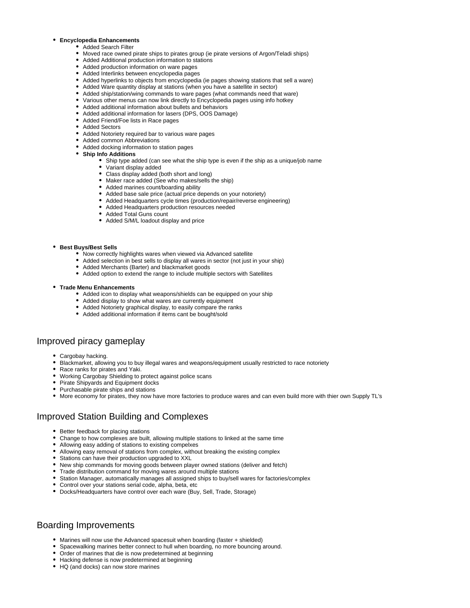#### **Encyclopedia Enhancements**

#### Added Search Filter

- Moved race owned pirate ships to pirates group (ie pirate versions of Argon/Teladi ships)
- Added Additional production information to stations
- Added production information on ware pages
- Added Interlinks between encyclopedia pages
- Added hyperlinks to objects from encyclopedia (ie pages showing stations that sell a ware)
- Added Ware quantity display at stations (when you have a satellite in sector)
- Added ship/station/wing commands to ware pages (what commands need that ware)
- Various other menus can now link directly to Encyclopedia pages using info hotkey
- Added additional information about bullets and behaviors Added additional information for lasers (DPS, OOS Damage)
- Added Friend/Foe lists in Race pages
- Added Sectors
- 
- Added Notoriety required bar to various ware pages
- Added common Abbreviations
- Added docking information to station pages
- **Ship Info Additions**
	- Ship type added (can see what the ship type is even if the ship as a unique/job name
	- Variant display added
	- Class display added (both short and long)
	- Maker race added (See who makes/sells the ship)
	- Added marines count/boarding ability
	- Added base sale price (actual price depends on your notoriety)
	- Added Headquarters cycle times (production/repair/reverse engineering)
	- Added Headquarters production resources needed
	- Added Total Guns count
	- Added S/M/L loadout display and price

#### **Best Buys/Best Sells**

- Now correctly highlights wares when viewed via Advanced satellite
- Added selection in best sells to display all wares in sector (not just in your ship)
- Added Merchants (Barter) and blackmarket goods
- Added option to extend the range to include multiple sectors with Satellites
- **Trade Menu Enhancements**
	- Added icon to display what weapons/shields can be equipped on your ship
	- Added display to show what wares are currently equipment
	- Added Notoriety graphical display, to easily compare the ranks
	- Added additional information if items cant be bought/sold

# Improved piracy gameplay

- Cargobay hacking.
- Blackmarket, allowing you to buy illegal wares and weapons/equipment usually restricted to race notoriety
- Race ranks for pirates and Yaki.
- Working Cargobay Shielding to protect against police scans
- Pirate Shipyards and Equipment docks
- Purchasable pirate ships and stations
- More economy for pirates, they now have more factories to produce wares and can even build more with thier own Supply TL's

# Improved Station Building and Complexes

- Better feedback for placing stations
- Change to how complexes are built, allowing multiple stations to linked at the same time
- Allowing easy adding of stations to existing compelxes
- Allowing easy removal of stations from complex, without breaking the existing complex
- Stations can have their production upgraded to XXL
- New ship commands for moving goods between player owned stations (deliver and fetch)
- Trade distribution command for moving wares around multiple stations
- Station Manager, automatically manages all assigned ships to buy/sell wares for factories/complex
- Control over your stations serial code, alpha, beta, etc
- Docks/Headquarters have control over each ware (Buy, Sell, Trade, Storage)

# Boarding Improvements

- Marines will now use the Advanced spacesuit when boarding (faster + shielded)
- Spacewalking marines better connect to hull when boarding, no more bouncing around.
- Order of marines that die is now predetermined at beginning
- Hacking defense is now predetermined at beginning
- HQ (and docks) can now store marines